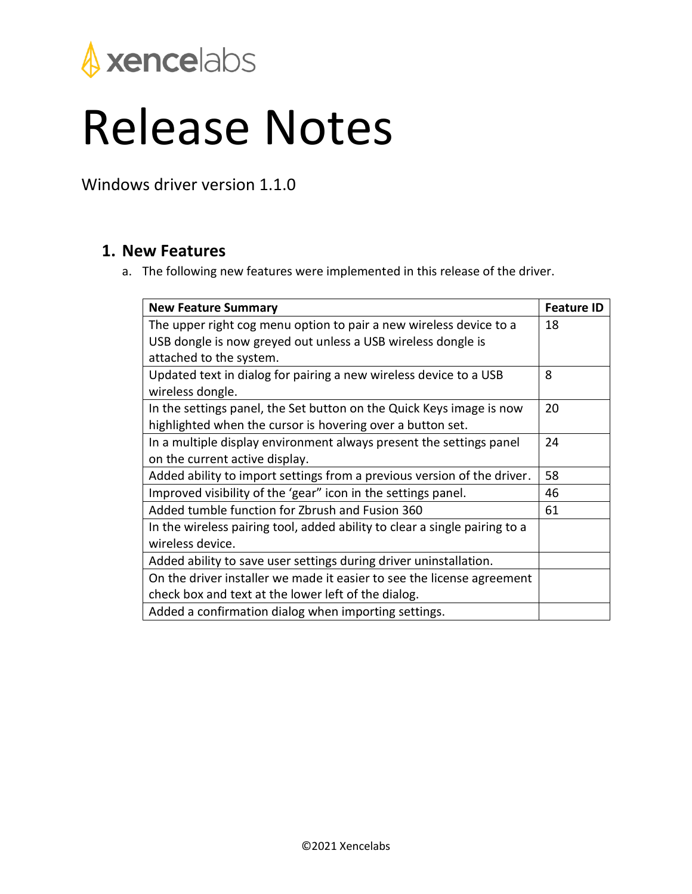

## Release Notes

Windows driver version 1.1.0

## **1. New Features**

a. The following new features were implemented in this release of the driver.

| <b>New Feature Summary</b>                                                            | <b>Feature ID</b>     |
|---------------------------------------------------------------------------------------|-----------------------|
| The upper right cog menu option to pair a new wireless device to a                    | 18                    |
| USB dongle is now greyed out unless a USB wireless dongle is                          |                       |
| attached to the system.                                                               |                       |
| Updated text in dialog for pairing a new wireless device to a USB<br>wireless dongle. | $\mathsf{\mathsf{R}}$ |
| In the settings panel, the Set button on the Quick Keys image is now                  | 20                    |
| highlighted when the cursor is hovering over a button set.                            |                       |
| In a multiple display environment always present the settings panel                   | 24                    |
| on the current active display.                                                        |                       |
| Added ability to import settings from a previous version of the driver.               | 58                    |
| Improved visibility of the 'gear" icon in the settings panel.                         | 46                    |
| Added tumble function for Zbrush and Fusion 360                                       | 61                    |
| In the wireless pairing tool, added ability to clear a single pairing to a            |                       |
| wireless device.                                                                      |                       |
| Added ability to save user settings during driver uninstallation.                     |                       |
| On the driver installer we made it easier to see the license agreement                |                       |
| check box and text at the lower left of the dialog.                                   |                       |
| Added a confirmation dialog when importing settings.                                  |                       |